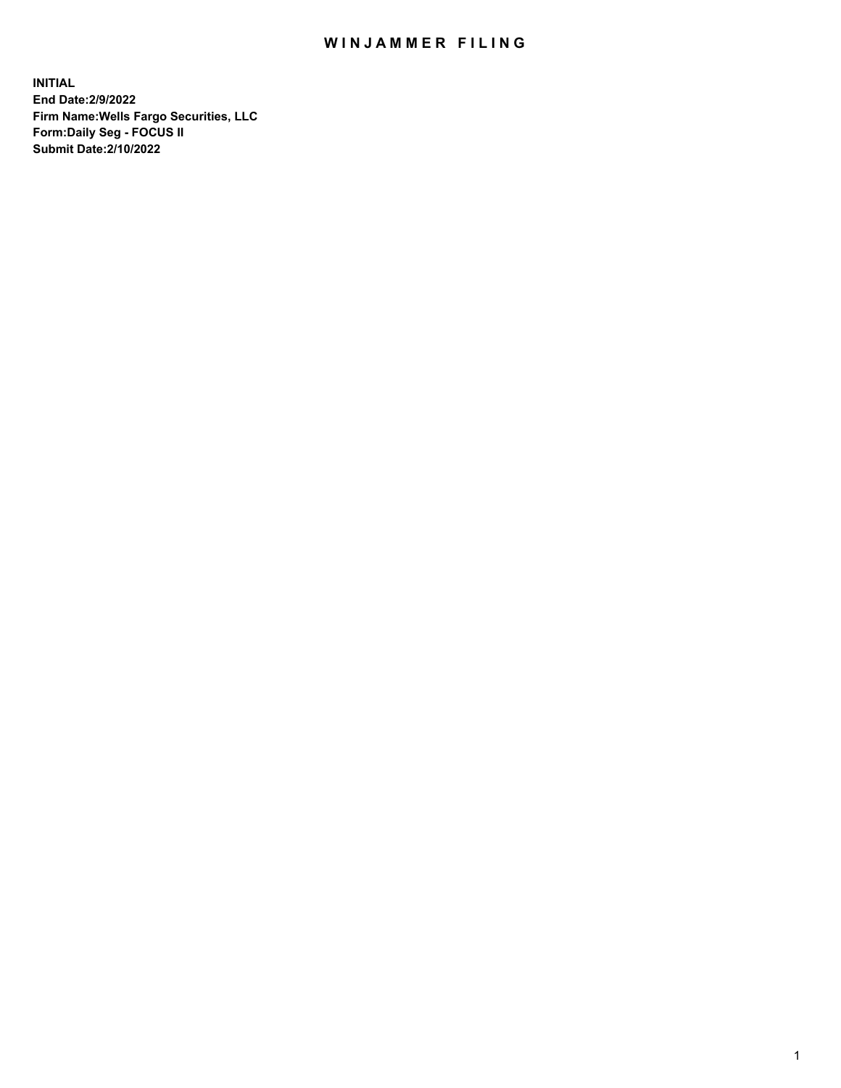## WIN JAMMER FILING

**INITIAL End Date:2/9/2022 Firm Name:Wells Fargo Securities, LLC Form:Daily Seg - FOCUS II Submit Date:2/10/2022**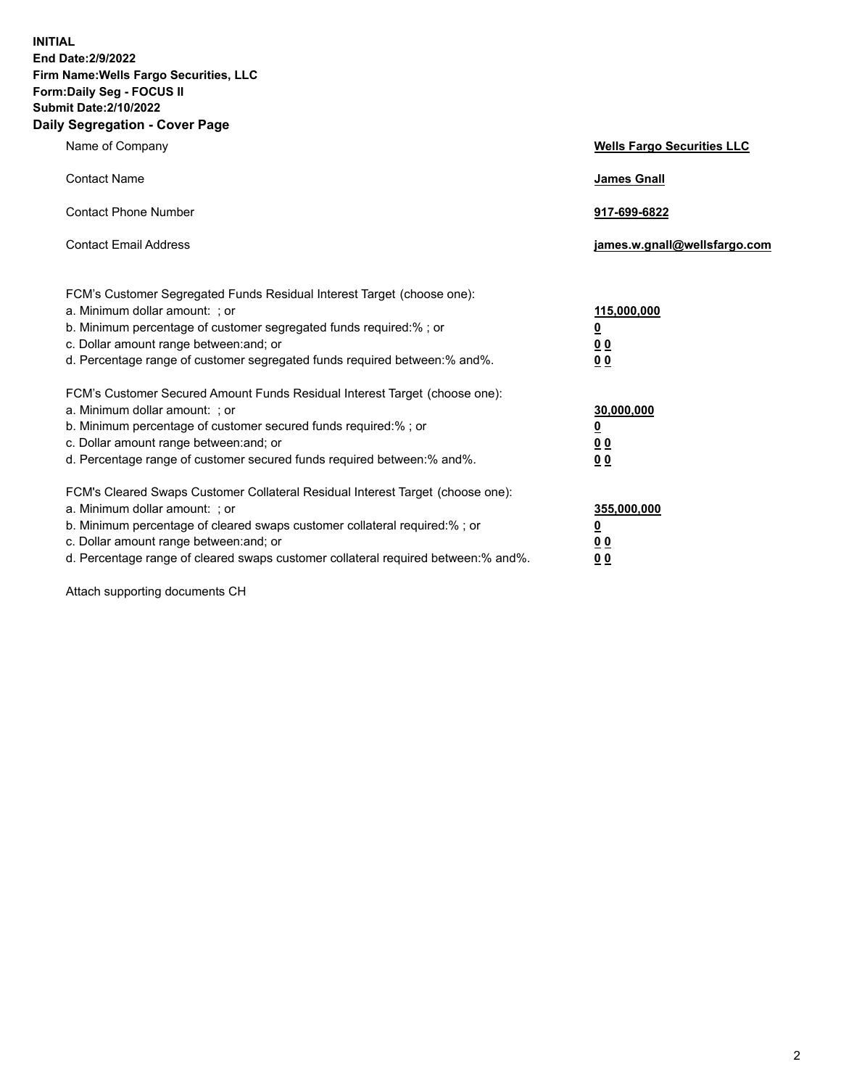**INITIAL End Date:2/9/2022 Firm Name:Wells Fargo Securities, LLC Form:Daily Seg - FOCUS II Submit Date:2/10/2022 Daily Segregation - Cover Page**

| Name of Company                                                                                                                                                                                                                                                                                                                | <b>Wells Fargo Securities LLC</b>                          |
|--------------------------------------------------------------------------------------------------------------------------------------------------------------------------------------------------------------------------------------------------------------------------------------------------------------------------------|------------------------------------------------------------|
| <b>Contact Name</b>                                                                                                                                                                                                                                                                                                            | <b>James Gnall</b>                                         |
| <b>Contact Phone Number</b>                                                                                                                                                                                                                                                                                                    | 917-699-6822                                               |
| <b>Contact Email Address</b>                                                                                                                                                                                                                                                                                                   | james.w.gnall@wellsfargo.com                               |
| FCM's Customer Segregated Funds Residual Interest Target (choose one):<br>a. Minimum dollar amount: ; or<br>b. Minimum percentage of customer segregated funds required:% ; or<br>c. Dollar amount range between: and; or<br>d. Percentage range of customer segregated funds required between:% and%.                         | 115,000,000<br><u>0</u><br>0 <sub>0</sub><br>00            |
| FCM's Customer Secured Amount Funds Residual Interest Target (choose one):<br>a. Minimum dollar amount: ; or<br>b. Minimum percentage of customer secured funds required:%; or<br>c. Dollar amount range between: and; or<br>d. Percentage range of customer secured funds required between:% and%.                            | 30,000,000<br><u>0</u><br>0 <sub>0</sub><br>0 <sub>0</sub> |
| FCM's Cleared Swaps Customer Collateral Residual Interest Target (choose one):<br>a. Minimum dollar amount: ; or<br>b. Minimum percentage of cleared swaps customer collateral required:% ; or<br>c. Dollar amount range between: and; or<br>d. Percentage range of cleared swaps customer collateral required between:% and%. | 355,000,000<br><u>0</u><br>00<br>00                        |

Attach supporting documents CH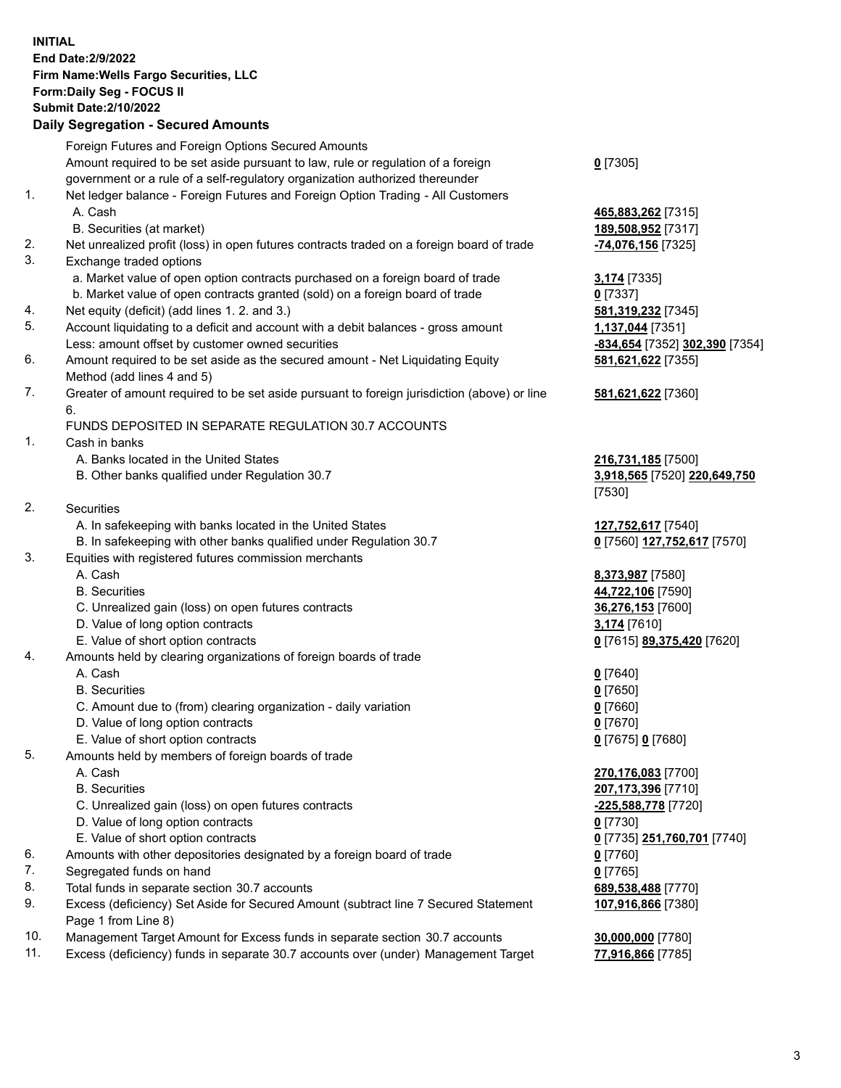**INITIAL End Date:2/9/2022 Firm Name:Wells Fargo Securities, LLC Form:Daily Seg - FOCUS II Submit Date:2/10/2022 Daily Segregation - Secured Amounts**

Foreign Futures and Foreign Options Secured Amounts Amount required to be set aside pursuant to law, rule or regulation of a foreign government or a rule of a self-regulatory organization authorized thereunder **0** [7305] 1. Net ledger balance - Foreign Futures and Foreign Option Trading - All Customers A. Cash **465,883,262** [7315] B. Securities (at market) **189,508,952** [7317] 2. Net unrealized profit (loss) in open futures contracts traded on a foreign board of trade **-74,076,156** [7325] 3. Exchange traded options a. Market value of open option contracts purchased on a foreign board of trade **3,174** [7335] b. Market value of open contracts granted (sold) on a foreign board of trade **0** [7337] 4. Net equity (deficit) (add lines 1. 2. and 3.) **581,319,232** [7345] 5. Account liquidating to a deficit and account with a debit balances - gross amount **1,137,044** [7351] Less: amount offset by customer owned securities **-834,654** [7352] **302,390** [7354] 6. Amount required to be set aside as the secured amount - Net Liquidating Equity Method (add lines 4 and 5) **581,621,622** [7355] 7. Greater of amount required to be set aside pursuant to foreign jurisdiction (above) or line 6. **581,621,622** [7360] FUNDS DEPOSITED IN SEPARATE REGULATION 30.7 ACCOUNTS 1. Cash in banks A. Banks located in the United States **216,731,185** [7500] B. Other banks qualified under Regulation 30.7 **3,918,565** [7520] **220,649,750** [7530] 2. Securities A. In safekeeping with banks located in the United States **127,752,617** [7540] B. In safekeeping with other banks qualified under Regulation 30.7 **0** [7560] **127,752,617** [7570] 3. Equities with registered futures commission merchants A. Cash **8,373,987** [7580] B. Securities **44,722,106** [7590] C. Unrealized gain (loss) on open futures contracts **36,276,153** [7600] D. Value of long option contracts **3,174** [7610] E. Value of short option contracts **0** [7615] **89,375,420** [7620] 4. Amounts held by clearing organizations of foreign boards of trade A. Cash **0** [7640] B. Securities **0** [7650] C. Amount due to (from) clearing organization - daily variation **0** [7660] D. Value of long option contracts **0** [7670] E. Value of short option contracts **0** [7675] **0** [7680] 5. Amounts held by members of foreign boards of trade A. Cash **270,176,083** [7700] B. Securities **207,173,396** [7710] C. Unrealized gain (loss) on open futures contracts **-225,588,778** [7720] D. Value of long option contracts **0** [7730] E. Value of short option contracts **0** [7735] **251,760,701** [7740] 6. Amounts with other depositories designated by a foreign board of trade **0** [7760] 7. Segregated funds on hand **0** [7765] 8. Total funds in separate section 30.7 accounts **689,538,488** [7770] 9. Excess (deficiency) Set Aside for Secured Amount (subtract line 7 Secured Statement Page 1 from Line 8) **107,916,866** [7380]

- 10. Management Target Amount for Excess funds in separate section 30.7 accounts **30,000,000** [7780]
- 11. Excess (deficiency) funds in separate 30.7 accounts over (under) Management Target **77,916,866** [7785]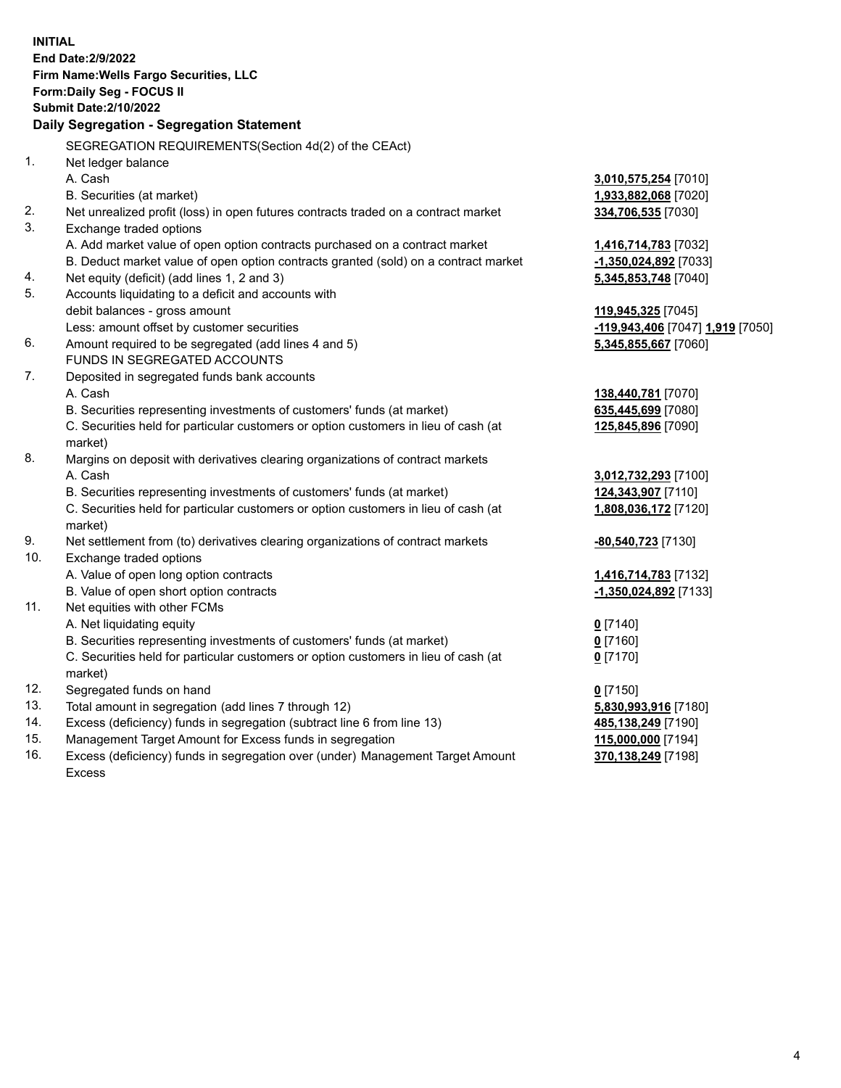**INITIAL End Date:2/9/2022 Firm Name:Wells Fargo Securities, LLC Form:Daily Seg - FOCUS II Submit Date:2/10/2022 Daily Segregation - Segregation Statement** SEGREGATION REQUIREMENTS(Section 4d(2) of the CEAct) 1. Net ledger balance A. Cash **3,010,575,254** [7010] B. Securities (at market) **1,933,882,068** [7020] 2. Net unrealized profit (loss) in open futures contracts traded on a contract market **334,706,535** [7030] 3. Exchange traded options A. Add market value of open option contracts purchased on a contract market **1,416,714,783** [7032] B. Deduct market value of open option contracts granted (sold) on a contract market **-1,350,024,892** [7033] 4. Net equity (deficit) (add lines 1, 2 and 3) **5,345,853,748** [7040] 5. Accounts liquidating to a deficit and accounts with debit balances - gross amount **119,945,325** [7045] Less: amount offset by customer securities **-119,943,406** [7047] **1,919** [7050] 6. Amount required to be segregated (add lines 4 and 5) **5,345,855,667** [7060] FUNDS IN SEGREGATED ACCOUNTS 7. Deposited in segregated funds bank accounts A. Cash **138,440,781** [7070] B. Securities representing investments of customers' funds (at market) **635,445,699** [7080] C. Securities held for particular customers or option customers in lieu of cash (at market) **125,845,896** [7090] 8. Margins on deposit with derivatives clearing organizations of contract markets A. Cash **3,012,732,293** [7100] B. Securities representing investments of customers' funds (at market) **124,343,907** [7110] C. Securities held for particular customers or option customers in lieu of cash (at market) **1,808,036,172** [7120] 9. Net settlement from (to) derivatives clearing organizations of contract markets **-80,540,723** [7130] 10. Exchange traded options A. Value of open long option contracts **1,416,714,783** [7132] B. Value of open short option contracts **-1,350,024,892** [7133] 11. Net equities with other FCMs A. Net liquidating equity **0** [7140] B. Securities representing investments of customers' funds (at market) **0** [7160] C. Securities held for particular customers or option customers in lieu of cash (at market) **0** [7170] 12. Segregated funds on hand **0** [7150] 13. Total amount in segregation (add lines 7 through 12) **5,830,993,916** [7180] 14. Excess (deficiency) funds in segregation (subtract line 6 from line 13) **485,138,249** [7190] 15. Management Target Amount for Excess funds in segregation **115,000,000** [7194] 16. Excess (deficiency) funds in segregation over (under) Management Target Amount Excess **370,138,249** [7198]